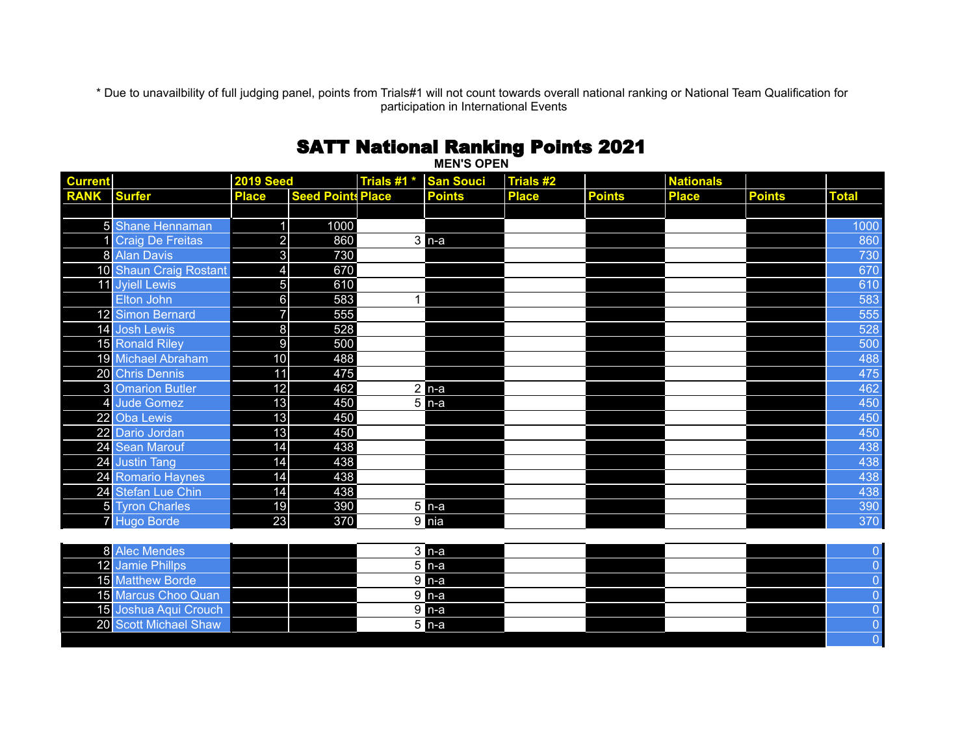\* Due to unavailbility of full judging panel, points from Trials#1 will not count towards overall national ranking or National Team Qualification for participation in International Events

## SATT National Ranking Points 2021

| <b>MEN'S OPEN</b> |                         |                         |                          |             |                    |              |               |                  |               |                |
|-------------------|-------------------------|-------------------------|--------------------------|-------------|--------------------|--------------|---------------|------------------|---------------|----------------|
| <b>Current</b>    |                         | <b>2019 Seed</b>        |                          | Trials #1 * | <b>San Souci</b>   | Trials #2    |               | <b>Nationals</b> |               |                |
| RANK Surfer       |                         | <b>Place</b>            | <b>Seed Points Place</b> |             | <b>Points</b>      | <b>Place</b> | <b>Points</b> | <b>Place</b>     | <b>Points</b> | <b>Total</b>   |
|                   |                         |                         |                          |             |                    |              |               |                  |               |                |
|                   | 5 Shane Hennaman        | $\overline{1}$          | 1000                     |             |                    |              |               |                  |               | 1000           |
|                   | <b>Craig De Freitas</b> | $\overline{2}$          | 860                      |             | $3$ n-a            |              |               |                  |               | 860            |
|                   | 8 Alan Davis            | $\mathbf{3}$            | 730                      |             |                    |              |               |                  |               | 730            |
|                   | 10 Shaun Craig Rostant  | $\overline{\mathbf{4}}$ | 670                      |             |                    |              |               |                  |               | 670            |
|                   | 11 Jyiell Lewis         | $\overline{5}$          | 610                      |             |                    |              |               |                  |               | 610            |
|                   | Elton John              | $6 \overline{6}$        | 583                      | 1           |                    |              |               |                  |               | 583            |
|                   | 12 Simon Bernard        | $\overline{7}$          | 555                      |             |                    |              |               |                  |               | 555            |
|                   | 14 Josh Lewis           | $\bf 8$                 | 528                      |             |                    |              |               |                  |               | 528            |
|                   | 15 Ronald Riley         | $\overline{9}$          | 500                      |             |                    |              |               |                  |               | 500            |
|                   | 19 Michael Abraham      | 10                      | 488                      |             |                    |              |               |                  |               | 488            |
|                   | 20 Chris Dennis         | 11                      | 475                      |             |                    |              |               |                  |               | 475            |
|                   | <b>3</b> Omarion Butler | 12                      | 462                      |             | $2 n-a $           |              |               |                  |               | 462            |
|                   | 4 Jude Gomez            | 13                      | 450                      |             | $5n-a$             |              |               |                  |               | 450            |
|                   | 22 Oba Lewis            | 13                      | 450                      |             |                    |              |               |                  |               | 450            |
|                   | 22 Dario Jordan         | 13                      | 450                      |             |                    |              |               |                  |               | 450            |
|                   | 24 Sean Marouf          | 14                      | 438                      |             |                    |              |               |                  |               | 438            |
|                   | 24 Justin Tang          | 14                      | 438                      |             |                    |              |               |                  |               | 438            |
|                   | 24 Romario Haynes       | 14                      | 438                      |             |                    |              |               |                  |               | 438            |
|                   | 24 Stefan Lue Chin      | 14                      | 438                      |             |                    |              |               |                  |               | 438            |
|                   | 5 Tyron Charles         | 19                      | 390                      |             | $\overline{5}$ n-a |              |               |                  |               | 390            |
|                   | 7 Hugo Borde            | 23                      | 370                      |             | $9$ nia            |              |               |                  |               | 370            |
|                   |                         |                         |                          |             |                    |              |               |                  |               |                |
|                   | 8 Alec Mendes           |                         |                          |             | $3$ n-a            |              |               |                  |               | $\mathbf 0$    |
|                   | 12 Jamie Phillps        |                         |                          |             | $5 n-a$            |              |               |                  |               | $\overline{0}$ |
|                   | 15 Matthew Borde        |                         |                          |             | $9$ n-a            |              |               |                  |               | $\overline{0}$ |
|                   | 15 Marcus Choo Quan     |                         |                          |             | $9$ n-a            |              |               |                  |               | $\overline{0}$ |
|                   | 15 Joshua Aqui Crouch   |                         |                          |             | $9$ n-a            |              |               |                  |               | $\overline{0}$ |
|                   | 20 Scott Michael Shaw   |                         |                          |             | $5$ n-a            |              |               |                  |               | $\overline{0}$ |
|                   |                         |                         |                          |             |                    |              |               |                  |               | $\overline{0}$ |